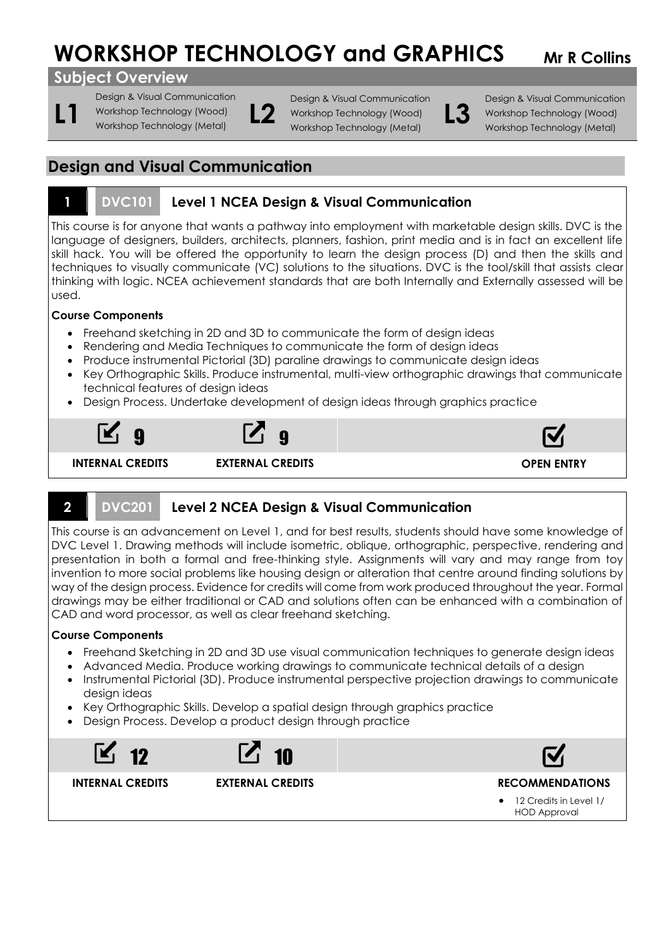# **WORKSHOP TECHNOLOGY and GRAPHICS Mr R Collins**

# **Subject Overview**

**L1**

Design & Visual Communication Workshop Technology (Wood) Workshop Technology (Metal) **L2**

Design & Visual Communication Workshop Technology (Wood) Workshop Technology (Metal)

**L3**

Design & Visual Communication Workshop Technology (Wood) Workshop Technology (Metal)

# **Design and Visual Communication**

# **1 DVC101 Level 1 NCEA Design & Visual Communication**

This course is for anyone that wants a pathway into employment with marketable design skills. DVC is the language of designers, builders, architects, planners, fashion, print media and is in fact an excellent life skill hack. You will be offered the opportunity to learn the design process (D) and then the skills and techniques to visually communicate (VC) solutions to the situations. DVC is the tool/skill that assists clear thinking with logic. NCEA achievement standards that are both Internally and Externally assessed will be used.

## **Course Components**

- Freehand sketching in 2D and 3D to communicate the form of design ideas
- Rendering and Media Techniques to communicate the form of design ideas
- Produce instrumental Pictorial (3D) paraline drawings to communicate design ideas
- Key Orthographic Skills. Produce instrumental, multi-view orthographic drawings that communicate technical features of design ideas
- Design Process. Undertake development of design ideas through graphics practice



# **2 DVC201 Level 2 NCEA Design & Visual Communication**

This course is an advancement on Level 1, and for best results, students should have some knowledge of DVC Level 1. Drawing methods will include isometric, oblique, orthographic, perspective, rendering and presentation in both a formal and free-thinking style. Assignments will vary and may range from toy invention to more social problems like housing design or alteration that centre around finding solutions by way of the design process. Evidence for credits will come from work produced throughout the year. Formal drawings may be either traditional or CAD and solutions often can be enhanced with a combination of CAD and word processor, as well as clear freehand sketching.

# **Course Components**

- Freehand Sketching in 2D and 3D use visual communication techniques to generate design ideas
- Advanced Media. Produce working drawings to communicate technical details of a design
- Instrumental Pictorial (3D). Produce instrumental perspective projection drawings to communicate desian ideas
- Key Orthographic Skills. Develop a spatial design through graphics practice
- Design Process. Develop a product design through practice



 12 Credits in Level 1/ HOD Approval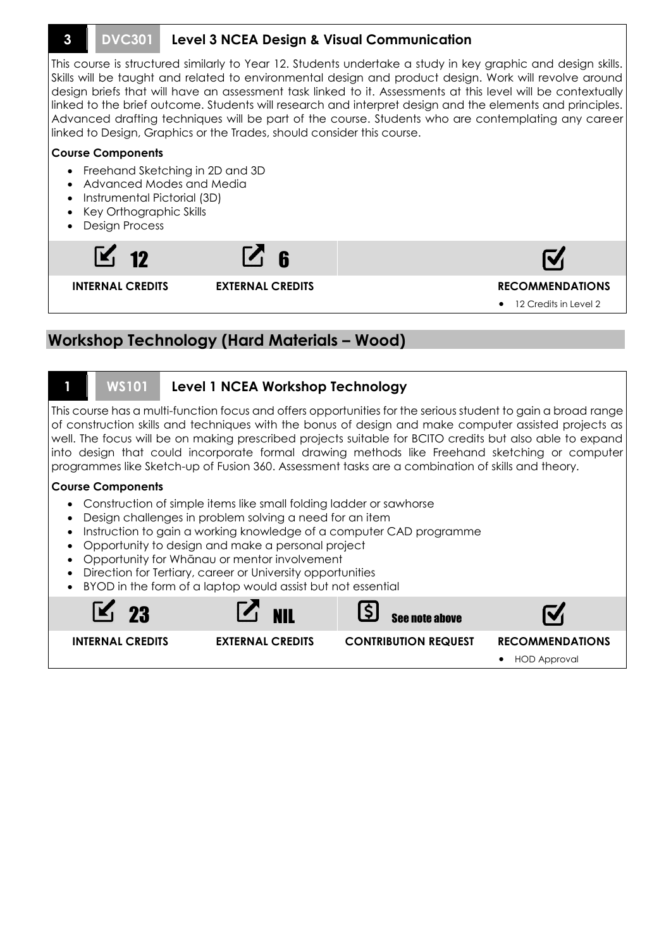

**Course Components**

- Construction of simple items like small folding ladder or sawhorse
- Design challenges in problem solving a need for an item
- Instruction to gain a working knowledge of a computer CAD programme
- Opportunity to design and make a personal project
- Opportunity for Whānau or mentor involvement
- Direction for Tertiary, career or University opportunities
- BYOD in the form of a laptop would assist but not essential

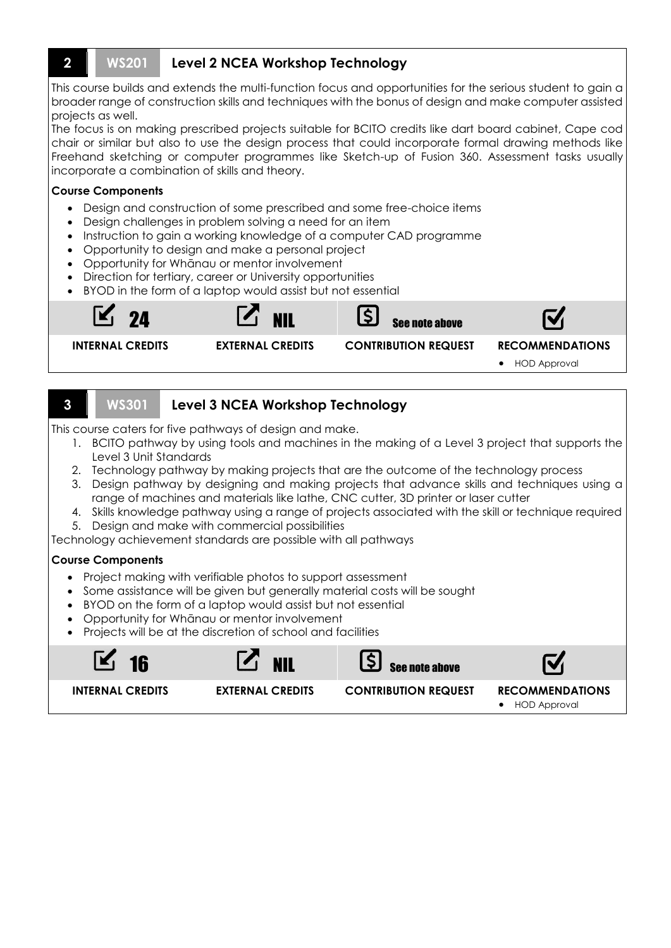### **2 WS201 Level 2 NCEA Workshop Technology**

This course builds and extends the multi-function focus and opportunities for the serious student to gain a broader range of construction skills and techniques with the bonus of design and make computer assisted projects as well.

The focus is on making prescribed projects suitable for BCITO credits like dart board cabinet, Cape cod chair or similar but also to use the design process that could incorporate formal drawing methods like Freehand sketching or computer programmes like Sketch-up of Fusion 360. Assessment tasks usually incorporate a combination of skills and theory.

### **Course Components**

- Design and construction of some prescribed and some free-choice items
- Design challenges in problem solving a need for an item
- Instruction to gain a working knowledge of a computer CAD programme
- Opportunity to design and make a personal project
- Opportunity for Whānau or mentor involvement
- Direction for tertiary, career or University opportunities
- BYOD in the form of a laptop would assist but not essential



# **3 WS301 Level 3 NCEA Workshop Technology**

This course caters for five pathways of design and make.

- 1. BCITO pathway by using tools and machines in the making of a Level 3 project that supports the Level 3 Unit Standards
- 2. Technology pathway by making projects that are the outcome of the technology process
- 3. Design pathway by designing and making projects that advance skills and techniques using a range of machines and materials like lathe, CNC cutter, 3D printer or laser cutter
- 4. Skills knowledge pathway using a range of projects associated with the skill or technique required 5. Design and make with commercial possibilities

Technology achievement standards are possible with all pathways

### **Course Components**

- Project making with verifiable photos to support assessment
- Some assistance will be given but generally material costs will be sought
- BYOD on the form of a laptop would assist but not essential
- Opportunity for Whānau or mentor involvement
- Projects will be at the discretion of school and facilities

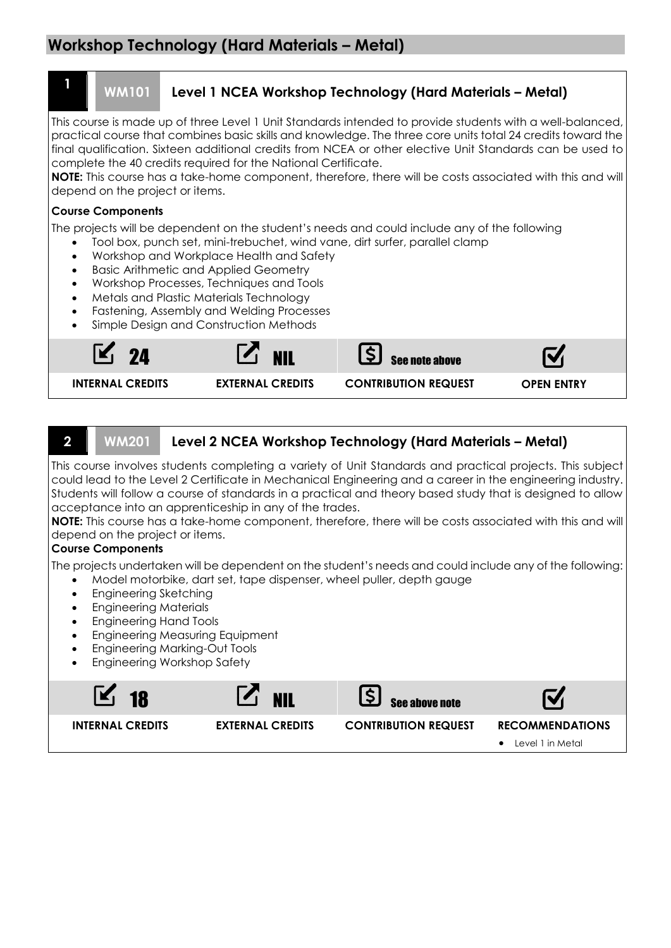

**2 WM201 Level 2 NCEA Workshop Technology (Hard Materials – Metal)**

This course involves students completing a variety of Unit Standards and practical projects. This subject could lead to the Level 2 Certificate in Mechanical Engineering and a career in the engineering industry. Students will follow a course of standards in a practical and theory based study that is designed to allow acceptance into an apprenticeship in any of the trades.

**NOTE:** This course has a take-home component, therefore, there will be costs associated with this and will depend on the project or items.

### **Course Components**

The projects undertaken will be dependent on the student's needs and could include any of the following:

- Model motorbike, dart set, tape dispenser, wheel puller, depth gauge
- Engineering Sketching
- **•** Engineering Materials
- Engineering Hand Tools
- Engineering Measuring Equipment
- Engineering Marking-Out Tools
- Engineering Workshop Safety